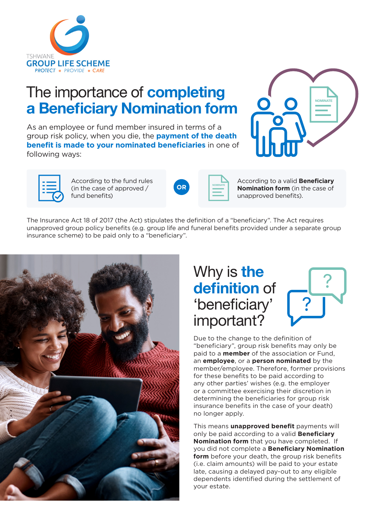

# The importance of **completing** a Beneficiary Nomination form

As an employee or fund member insured in terms of a group risk policy, when you die, the **payment of the death benefit is made to your nominated beneficiaries** in one of following ways:





According to the fund rules (in the case of approved / fund benefits)



According to a valid **Beneficiary Nomination form** (in the case of unapproved benefits).

The Insurance Act 18 of 2017 (the Act) stipulates the definition of a "beneficiary". The Act requires unapproved group policy benefits (e.g. group life and funeral benefits provided under a separate group insurance scheme) to be paid only to a "beneficiary".



## Why is the definition of 'beneficiary' important?



Due to the change to the definition of "beneficiary", group risk benefits may only be paid to a **member** of the association or Fund, an **employee**, or a **person nominated** by the member/employee. Therefore, former provisions for these benefits to be paid according to any other parties' wishes (e.g. the employer or a committee exercising their discretion in determining the beneficiaries for group risk insurance benefits in the case of your death) no longer apply.

This means **unapproved benefit** payments will only be paid according to a valid **Beneficiary Nomination form** that you have completed. If you did not complete a **Beneficiary Nomination form** before your death, the group risk benefits (i.e. claim amounts) will be paid to your estate late, causing a delayed pay-out to any eligible dependents identified during the settlement of your estate.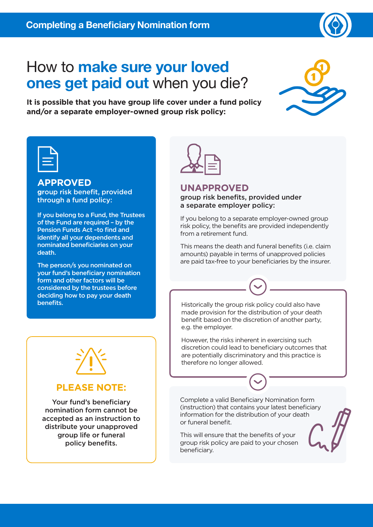

# How to make sure your loved ones get paid out when you die?



**It is possible that you have group life cover under a fund policy and/or a separate employer-owned group risk policy:**

### **APPROVED**

**g**roup risk benefit, provided through a fund policy:

If you belong to a Fund, the Trustees of the Fund are required – by the Pension Funds Act –to find and identify all your dependents and nominated beneficiaries on your death.

The person/s you nominated on your fund's beneficiary nomination form and other factors will be considered by the trustees before deciding how to pay your death



### **UNAPPROVED**

#### group risk benefits, provided under a separate employer policy:

If you belong to a separate employer-owned group risk policy, the benefits are provided independently from a retirement fund.

This means the death and funeral benefits (i.e. claim amounts) payable in terms of unapproved policies are paid tax-free to your beneficiaries by the insurer.

**benefits. Historically the group risk policy could also have** made provision for the distribution of your death benefit based on the discretion of another party, e.g. the employer.

> However, the risks inherent in exercising such discretion could lead to beneficiary outcomes that are potentially discriminatory and this practice is therefore no longer allowed.

Complete a valid Beneficiary Nomination form (instruction) that contains your latest beneficiary information for the distribution of your death or funeral benefit.

This will ensure that the benefits of your group risk policy are paid to your chosen beneficiary.





### **PLEASE NOTE:**

Your fund's beneficiary nomination form cannot be accepted as an instruction to distribute your unapproved group life or funeral policy benefits.